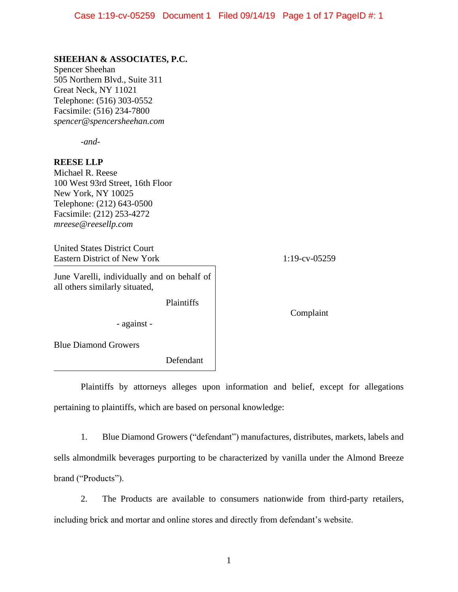# **SHEEHAN & ASSOCIATES, P.C.**

Spencer Sheehan 505 Northern Blvd., Suite 311 Great Neck, NY 11021 Telephone: (516) 303-0552 Facsimile: (516) 234-7800 *spencer@spencersheehan.com*

*-and-*

### **REESE LLP**

Michael R. Reese 100 West 93rd Street, 16th Floor New York, NY 10025 Telephone: (212) 643-0500 Facsimile: (212) 253-4272 *mreese@reesellp.com*

United States District Court Eastern District of New York 1:19-cv-05259

June Varelli, individually and on behalf of all others similarly situated,

Plaintiffs

Complaint

- against -

Blue Diamond Growers

Defendant

Plaintiffs by attorneys alleges upon information and belief, except for allegations pertaining to plaintiffs, which are based on personal knowledge:

1. Blue Diamond Growers ("defendant") manufactures, distributes, markets, labels and sells almondmilk beverages purporting to be characterized by vanilla under the Almond Breeze brand ("Products").

2. The Products are available to consumers nationwide from third-party retailers, including brick and mortar and online stores and directly from defendant's website.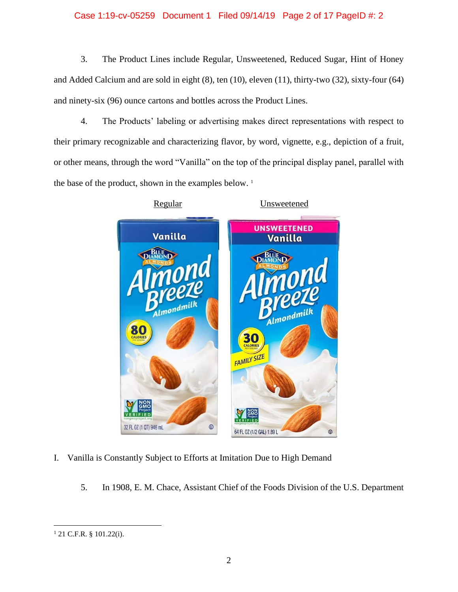# Case 1:19-cv-05259 Document 1 Filed 09/14/19 Page 2 of 17 PageID #: 2

3. The Product Lines include Regular, Unsweetened, Reduced Sugar, Hint of Honey and Added Calcium and are sold in eight (8), ten (10), eleven (11), thirty-two (32), sixty-four (64) and ninety-six (96) ounce cartons and bottles across the Product Lines.

4. The Products' labeling or advertising makes direct representations with respect to their primary recognizable and characterizing flavor, by word, vignette, e.g., depiction of a fruit, or other means, through the word "Vanilla" on the top of the principal display panel, parallel with the base of the product, shown in the examples below.  $1$ 



- I. Vanilla is Constantly Subject to Efforts at Imitation Due to High Demand
	- 5. In 1908, E. M. Chace, Assistant Chief of the Foods Division of the U.S. Department

 $1$  21 C.F.R. § 101.22(i).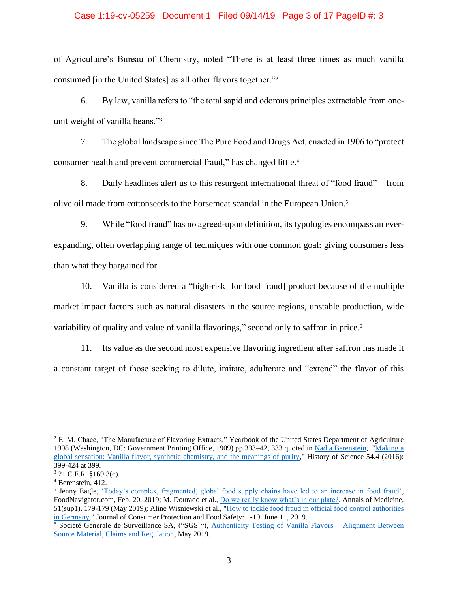#### Case 1:19-cv-05259 Document 1 Filed 09/14/19 Page 3 of 17 PageID #: 3

of Agriculture's Bureau of Chemistry, noted "There is at least three times as much vanilla consumed [in the United States] as all other flavors together."<sup>2</sup>

6. By law, vanilla refers to "the total sapid and odorous principles extractable from oneunit weight of vanilla beans."<sup>3</sup>

7. The global landscape since The Pure Food and Drugs Act, enacted in 1906 to "protect consumer health and prevent commercial fraud," has changed little.<sup>4</sup>

8. Daily headlines alert us to this resurgent international threat of "food fraud" – from olive oil made from cottonseeds to the horsemeat scandal in the European Union.<sup>5</sup>

9. While "food fraud" has no agreed-upon definition, its typologies encompass an everexpanding, often overlapping range of techniques with one common goal: giving consumers less than what they bargained for.

10. Vanilla is considered a "high-risk [for food fraud] product because of the multiple market impact factors such as natural disasters in the source regions, unstable production, wide variability of quality and value of vanilla flavorings," second only to saffron in price.<sup>6</sup>

11. Its value as the second most expensive flavoring ingredient after saffron has made it a constant target of those seeking to dilute, imitate, adulterate and "extend" the flavor of this

<sup>2</sup> E. M. Chace, "The Manufacture of Flavoring Extracts," Yearbook of the United States Department of Agriculture 1908 (Washington, DC: Government Printing Office, 1909) pp.333–42, 333 quoted in [Nadia Berenstein,](http://nadiaberenstein.com/) ["Making a](https://www.ncbi.nlm.nih.gov/pubmed/28027702)  [global sensation: Vanilla flavor, synthetic chemistry, and the meanings of purity,](https://www.ncbi.nlm.nih.gov/pubmed/28027702)" History of Science 54.4 (2016): 399-424 at 399.

<sup>3</sup> 21 C.F.R. §169.3(c).

<sup>4</sup> Berenstein, 412.

<sup>&</sup>lt;sup>5</sup> Jenny Eagle, <u>'Today's complex, fragmented, global food supply chains have led to an increase in food fraud',</u> FoodNavigator.com, Feb. 20, 2019; M. Dourado et al., [Do we really know what's in our plate?.](https://www.tandfonline.com/doi/abs/10.1080/07853890.2018.1562748) Annals of Medicine, 51(sup1), 179-179 (May 2019); Aline Wisniewski et al., ["How to tackle food fraud in official food control authorities](https://doi.org/10.1007/s00003-019-01228-2)  [in Germany.](https://doi.org/10.1007/s00003-019-01228-2)" Journal of Consumer Protection and Food Safety: 1-10. June 11, 2019.

<sup>&</sup>lt;sup>6</sup> Société Générale de Surveillance SA, ("SGS "), Authenticity Testing of Vanilla Flavors - Alignment Between [Source Material, Claims and Regulation,](https://www.sgs.com/en/events/2019/05/authenticity-testing-of-vanilla-flavors) May 2019.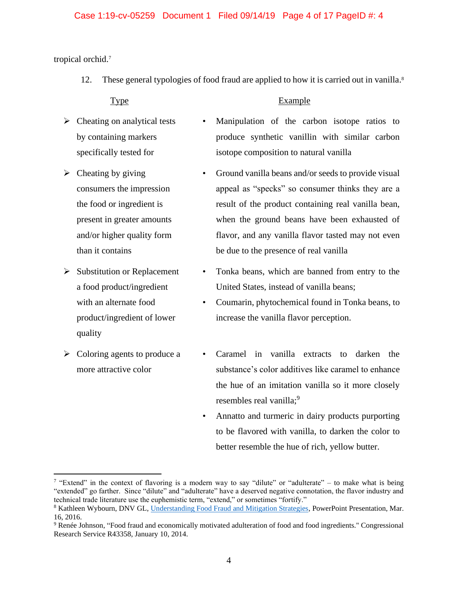tropical orchid.<sup>7</sup>

12. These general typologies of food fraud are applied to how it is carried out in vanilla. 8

# Type Example

- $\triangleright$  Cheating on analytical tests by containing markers specifically tested for
- $\triangleright$  Cheating by giving consumers the impression the food or ingredient is present in greater amounts and/or higher quality form than it contains
- ➢ Substitution or Replacement a food product/ingredient with an alternate food product/ingredient of lower quality
- $\triangleright$  Coloring agents to produce a more attractive color
- Manipulation of the carbon isotope ratios to produce synthetic vanillin with similar carbon isotope composition to natural vanilla
- Ground vanilla beans and/or seeds to provide visual appeal as "specks" so consumer thinks they are a result of the product containing real vanilla bean, when the ground beans have been exhausted of flavor, and any vanilla flavor tasted may not even be due to the presence of real vanilla
- Tonka beans, which are banned from entry to the United States, instead of vanilla beans;
- Coumarin, phytochemical found in Tonka beans, to increase the vanilla flavor perception.
- Caramel in vanilla extracts to darken the substance's color additives like caramel to enhance the hue of an imitation vanilla so it more closely resembles real vanilla;<sup>9</sup>
- Annatto and turmeric in dairy products purporting to be flavored with vanilla, to darken the color to better resemble the hue of rich, yellow butter.

 $\alpha$  "Extend" in the context of flavoring is a modern way to say "dilute" or "adulterate" – to make what is being "extended" go farther. Since "dilute" and "adulterate" have a deserved negative connotation, the flavor industry and technical trade literature use the euphemistic term, "extend," or sometimes "fortify."

<sup>8</sup> Kathleen Wybourn, DNV GL, [Understanding Food Fraud and Mitigation Strategies,](https://www.ifsqn.com/fsf/Understanding%20Food%20Fraud.pdf) PowerPoint Presentation, Mar. 16, 2016.

<sup>9</sup> Renée Johnson, "Food fraud and economically motivated adulteration of food and food ingredients." Congressional Research Service R43358, January 10, 2014.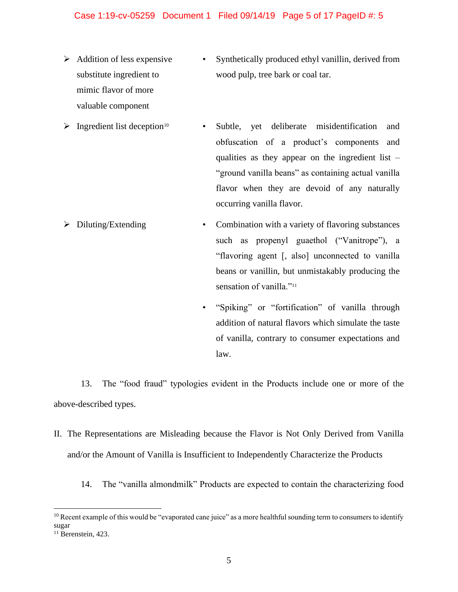- $\triangleright$  Addition of less expensive substitute ingredient to mimic flavor of more valuable component
- Synthetically produced ethyl vanillin, derived from wood pulp, tree bark or coal tar.
- ➢ Ingredient list deception<sup>10</sup> Subtle, yet deliberate misidentification and obfuscation of a product's components and qualities as they appear on the ingredient list – "ground vanilla beans" as containing actual vanilla flavor when they are devoid of any naturally occurring vanilla flavor.
- ➢ Diluting/Extending Combination with a variety of flavoring substances such as propenyl guaethol ("Vanitrope"), a "flavoring agent [, also] unconnected to vanilla beans or vanillin, but unmistakably producing the sensation of vanilla."<sup>11</sup>
	- "Spiking" or "fortification" of vanilla through addition of natural flavors which simulate the taste of vanilla, contrary to consumer expectations and law.

13. The "food fraud" typologies evident in the Products include one or more of the above-described types.

- II. The Representations are Misleading because the Flavor is Not Only Derived from Vanilla and/or the Amount of Vanilla is Insufficient to Independently Characterize the Products
	- 14. The "vanilla almondmilk" Products are expected to contain the characterizing food

<sup>&</sup>lt;sup>10</sup> Recent example of this would be "evaporated cane juice" as a more healthful sounding term to consumers to identify sugar

<sup>&</sup>lt;sup>11</sup> Berenstein, 423.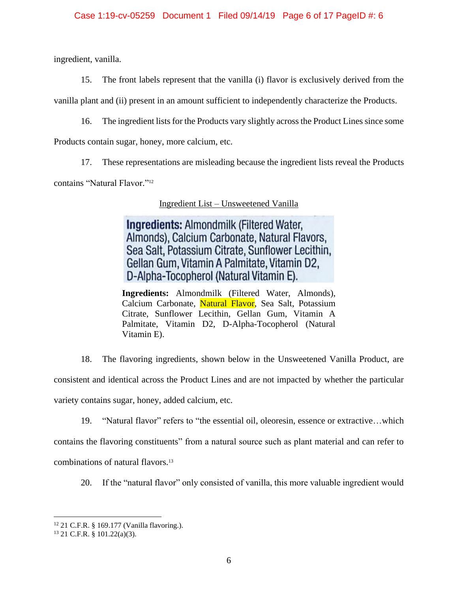ingredient, vanilla.

15. The front labels represent that the vanilla (i) flavor is exclusively derived from the

vanilla plant and (ii) present in an amount sufficient to independently characterize the Products.

16. The ingredient lists for the Products vary slightly across the Product Lines since some

Products contain sugar, honey, more calcium, etc.

17. These representations are misleading because the ingredient lists reveal the Products

contains "Natural Flavor." 12

# Ingredient List – Unsweetened Vanilla

**Ingredients: Almondmilk (Filtered Water,** Almonds), Calcium Carbonate, Natural Flavors, Sea Salt, Potassium Citrate, Sunflower Lecithin, Gellan Gum, Vitamin A Palmitate, Vitamin D2, D-Alpha-Tocopherol (Natural Vitamin E).

**Ingredients:** Almondmilk (Filtered Water, Almonds), Calcium Carbonate, Natural Flavor, Sea Salt, Potassium Citrate, Sunflower Lecithin, Gellan Gum, Vitamin A Palmitate, Vitamin D2, D-Alpha-Tocopherol (Natural Vitamin E).

18. The flavoring ingredients, shown below in the Unsweetened Vanilla Product, are

consistent and identical across the Product Lines and are not impacted by whether the particular

variety contains sugar, honey, added calcium, etc.

19. "Natural flavor" refers to "the essential oil, oleoresin, essence or extractive…which

contains the flavoring constituents" from a natural source such as plant material and can refer to combinations of natural flavors.<sup>13</sup>

20. If the "natural flavor" only consisted of vanilla, this more valuable ingredient would

<sup>12</sup> 21 C.F.R. § 169.177 (Vanilla flavoring.).

<sup>13</sup> 21 C.F.R. § 101.22(a)(3).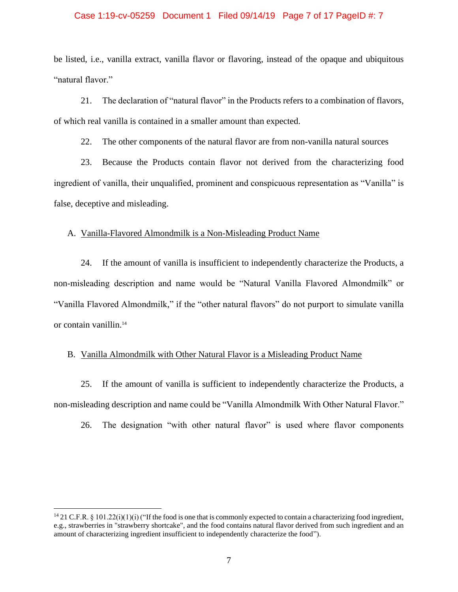#### Case 1:19-cv-05259 Document 1 Filed 09/14/19 Page 7 of 17 PageID #: 7

be listed, i.e., vanilla extract, vanilla flavor or flavoring, instead of the opaque and ubiquitous "natural flavor."

21. The declaration of "natural flavor" in the Products refers to a combination of flavors, of which real vanilla is contained in a smaller amount than expected.

22. The other components of the natural flavor are from non-vanilla natural sources

23. Because the Products contain flavor not derived from the characterizing food ingredient of vanilla, their unqualified, prominent and conspicuous representation as "Vanilla" is false, deceptive and misleading.

#### A. Vanilla-Flavored Almondmilk is a Non-Misleading Product Name

24. If the amount of vanilla is insufficient to independently characterize the Products, a non-misleading description and name would be "Natural Vanilla Flavored Almondmilk" or "Vanilla Flavored Almondmilk," if the "other natural flavors" do not purport to simulate vanilla or contain vanillin.<sup>14</sup>

# B. Vanilla Almondmilk with Other Natural Flavor is a Misleading Product Name

25. If the amount of vanilla is sufficient to independently characterize the Products, a non-misleading description and name could be "Vanilla Almondmilk With Other Natural Flavor."

26. The designation "with other natural flavor" is used where flavor components

<sup>&</sup>lt;sup>14</sup> 21 C.F.R. § 101.22(i)(1)(i) ("If the food is one that is commonly expected to contain a characterizing food ingredient, e.g., strawberries in "strawberry shortcake", and the food contains natural flavor derived from such ingredient and an amount of characterizing ingredient insufficient to independently characterize the food").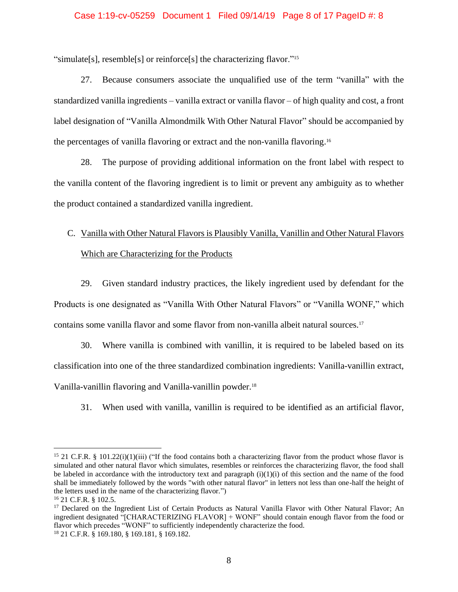#### Case 1:19-cv-05259 Document 1 Filed 09/14/19 Page 8 of 17 PageID #: 8

"simulate[s], resemble[s] or reinforce[s] the characterizing flavor."<sup>15</sup>

27. Because consumers associate the unqualified use of the term "vanilla" with the standardized vanilla ingredients – vanilla extract or vanilla flavor – of high quality and cost, a front label designation of "Vanilla Almondmilk With Other Natural Flavor" should be accompanied by the percentages of vanilla flavoring or extract and the non-vanilla flavoring.<sup>16</sup>

28. The purpose of providing additional information on the front label with respect to the vanilla content of the flavoring ingredient is to limit or prevent any ambiguity as to whether the product contained a standardized vanilla ingredient.

# C. Vanilla with Other Natural Flavors is Plausibly Vanilla, Vanillin and Other Natural Flavors Which are Characterizing for the Products

29. Given standard industry practices, the likely ingredient used by defendant for the Products is one designated as "Vanilla With Other Natural Flavors" or "Vanilla WONF," which contains some vanilla flavor and some flavor from non-vanilla albeit natural sources.<sup>17</sup>

30. Where vanilla is combined with vanillin, it is required to be labeled based on its classification into one of the three standardized combination ingredients: Vanilla-vanillin extract, Vanilla-vanillin flavoring and Vanilla-vanillin powder. 18

31. When used with vanilla, vanillin is required to be identified as an artificial flavor,

<sup>&</sup>lt;sup>15</sup> 21 C.F.R. § 101.22(i)(1)(iii) ("If the food contains both a characterizing flavor from the product whose flavor is simulated and other natural flavor which simulates, resembles or reinforces the characterizing flavor, the food shall be labeled in accordance with the introductory text and paragraph  $(i)(1)(i)$  of this section and the name of the food shall be immediately followed by the words "with other natural flavor" in letters not less than one-half the height of the letters used in the name of the characterizing flavor.")

<sup>16</sup> 21 C.F.R. § 102.5.

<sup>&</sup>lt;sup>17</sup> Declared on the Ingredient List of Certain Products as Natural Vanilla Flavor with Other Natural Flavor; An ingredient designated "[CHARACTERIZING FLAVOR] + WONF" should contain enough flavor from the food or flavor which precedes "WONF" to sufficiently independently characterize the food. <sup>18</sup> 21 C.F.R. § 169.180, § 169.181, § 169.182.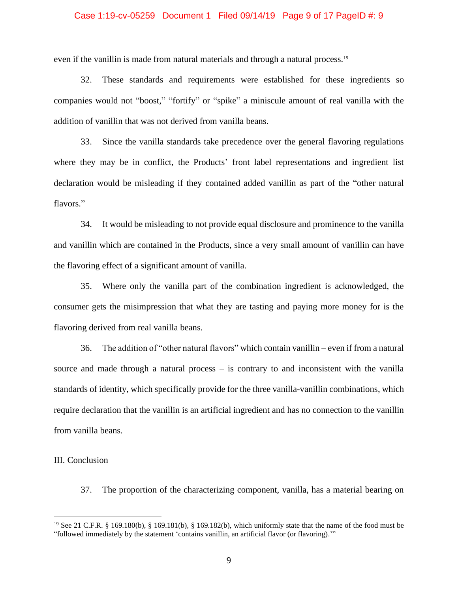#### Case 1:19-cv-05259 Document 1 Filed 09/14/19 Page 9 of 17 PageID #: 9

even if the vanillin is made from natural materials and through a natural process.<sup>19</sup>

32. These standards and requirements were established for these ingredients so companies would not "boost," "fortify" or "spike" a miniscule amount of real vanilla with the addition of vanillin that was not derived from vanilla beans.

33. Since the vanilla standards take precedence over the general flavoring regulations where they may be in conflict, the Products' front label representations and ingredient list declaration would be misleading if they contained added vanillin as part of the "other natural flavors."

34. It would be misleading to not provide equal disclosure and prominence to the vanilla and vanillin which are contained in the Products, since a very small amount of vanillin can have the flavoring effect of a significant amount of vanilla.

35. Where only the vanilla part of the combination ingredient is acknowledged, the consumer gets the misimpression that what they are tasting and paying more money for is the flavoring derived from real vanilla beans.

36. The addition of "other natural flavors" which contain vanillin – even if from a natural source and made through a natural process – is contrary to and inconsistent with the vanilla standards of identity, which specifically provide for the three vanilla-vanillin combinations, which require declaration that the vanillin is an artificial ingredient and has no connection to the vanillin from vanilla beans.

### III. Conclusion

37. The proportion of the characterizing component, vanilla, has a material bearing on

<sup>&</sup>lt;sup>19</sup> See 21 C.F.R. § 169.180(b), § 169.181(b), § 169.182(b), which uniformly state that the name of the food must be "followed immediately by the statement 'contains vanillin, an artificial flavor (or flavoring).'"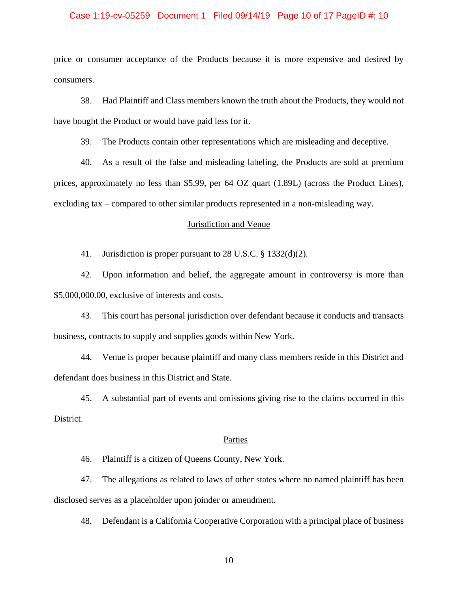# Case 1:19-cv-05259 Document 1 Filed 09/14/19 Page 10 of 17 PageID #: 10

price or consumer acceptance of the Products because it is more expensive and desired by consumers.

38. Had Plaintiff and Class members known the truth about the Products, they would not have bought the Product or would have paid less for it.

39. The Products contain other representations which are misleading and deceptive.

40. As a result of the false and misleading labeling, the Products are sold at premium prices, approximately no less than \$5.99, per 64 OZ quart (1.89L) (across the Product Lines), excluding tax – compared to other similar products represented in a non-misleading way.

#### Jurisdiction and Venue

41. Jurisdiction is proper pursuant to 28 U.S.C. § 1332(d)(2).

42. Upon information and belief, the aggregate amount in controversy is more than \$5,000,000.00, exclusive of interests and costs.

43. This court has personal jurisdiction over defendant because it conducts and transacts business, contracts to supply and supplies goods within New York.

44. Venue is proper because plaintiff and many class members reside in this District and defendant does business in this District and State.

45. A substantial part of events and omissions giving rise to the claims occurred in this District.

#### Parties

46. Plaintiff is a citizen of Queens County, New York.

47. The allegations as related to laws of other states where no named plaintiff has been disclosed serves as a placeholder upon joinder or amendment.

48. Defendant is a California Cooperative Corporation with a principal place of business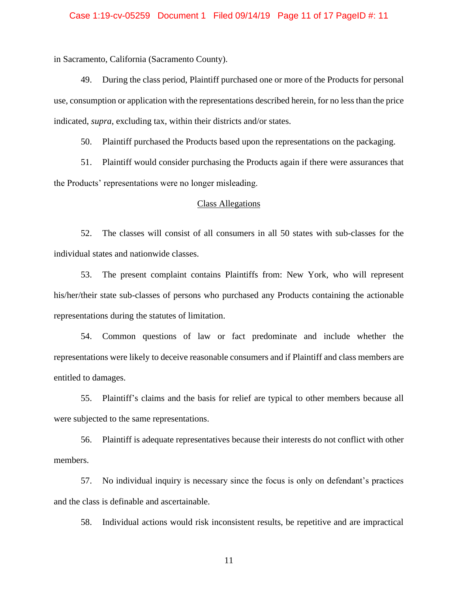in Sacramento, California (Sacramento County).

49. During the class period, Plaintiff purchased one or more of the Products for personal use, consumption or application with the representations described herein, for no less than the price indicated, *supra*, excluding tax, within their districts and/or states.

50. Plaintiff purchased the Products based upon the representations on the packaging.

51. Plaintiff would consider purchasing the Products again if there were assurances that the Products' representations were no longer misleading.

# Class Allegations

52. The classes will consist of all consumers in all 50 states with sub-classes for the individual states and nationwide classes.

53. The present complaint contains Plaintiffs from: New York, who will represent his/her/their state sub-classes of persons who purchased any Products containing the actionable representations during the statutes of limitation.

54. Common questions of law or fact predominate and include whether the representations were likely to deceive reasonable consumers and if Plaintiff and class members are entitled to damages.

55. Plaintiff's claims and the basis for relief are typical to other members because all were subjected to the same representations.

56. Plaintiff is adequate representatives because their interests do not conflict with other members.

57. No individual inquiry is necessary since the focus is only on defendant's practices and the class is definable and ascertainable.

58. Individual actions would risk inconsistent results, be repetitive and are impractical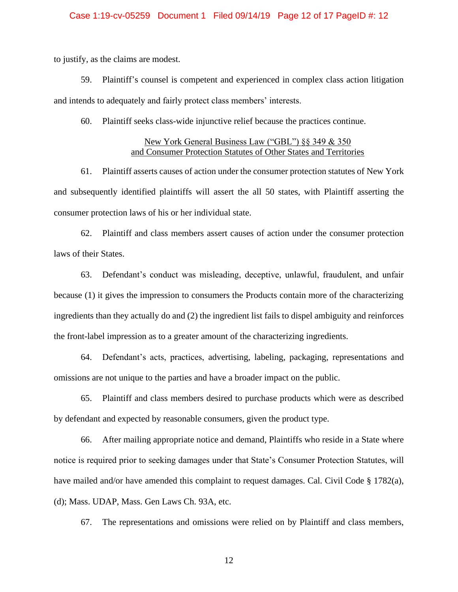#### Case 1:19-cv-05259 Document 1 Filed 09/14/19 Page 12 of 17 PageID #: 12

to justify, as the claims are modest.

59. Plaintiff's counsel is competent and experienced in complex class action litigation and intends to adequately and fairly protect class members' interests.

60. Plaintiff seeks class-wide injunctive relief because the practices continue.

# New York General Business Law ("GBL") §§ 349 & 350 and Consumer Protection Statutes of Other States and Territories

61. Plaintiff asserts causes of action under the consumer protection statutes of New York and subsequently identified plaintiffs will assert the all 50 states, with Plaintiff asserting the consumer protection laws of his or her individual state.

62. Plaintiff and class members assert causes of action under the consumer protection laws of their States.

63. Defendant's conduct was misleading, deceptive, unlawful, fraudulent, and unfair because (1) it gives the impression to consumers the Products contain more of the characterizing ingredients than they actually do and (2) the ingredient list fails to dispel ambiguity and reinforces the front-label impression as to a greater amount of the characterizing ingredients.

64. Defendant's acts, practices, advertising, labeling, packaging, representations and omissions are not unique to the parties and have a broader impact on the public.

65. Plaintiff and class members desired to purchase products which were as described by defendant and expected by reasonable consumers, given the product type.

66. After mailing appropriate notice and demand, Plaintiffs who reside in a State where notice is required prior to seeking damages under that State's Consumer Protection Statutes, will have mailed and/or have amended this complaint to request damages. Cal. Civil Code § 1782(a), (d); Mass. UDAP, Mass. Gen Laws Ch. 93A, etc.

67. The representations and omissions were relied on by Plaintiff and class members,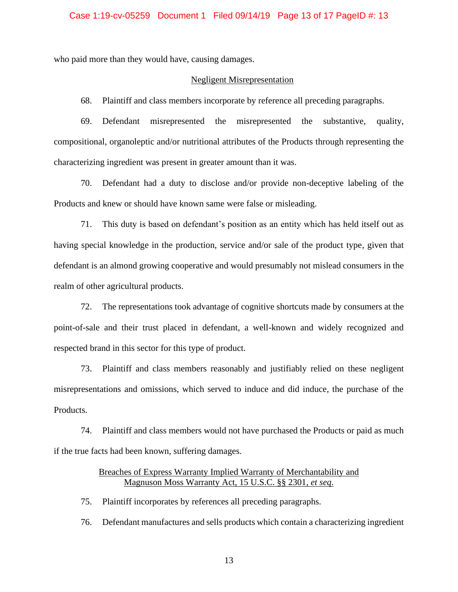who paid more than they would have, causing damages.

#### Negligent Misrepresentation

68. Plaintiff and class members incorporate by reference all preceding paragraphs.

69. Defendant misrepresented the misrepresented the substantive, quality, compositional, organoleptic and/or nutritional attributes of the Products through representing the characterizing ingredient was present in greater amount than it was.

70. Defendant had a duty to disclose and/or provide non-deceptive labeling of the Products and knew or should have known same were false or misleading.

71. This duty is based on defendant's position as an entity which has held itself out as having special knowledge in the production, service and/or sale of the product type, given that defendant is an almond growing cooperative and would presumably not mislead consumers in the realm of other agricultural products.

72. The representations took advantage of cognitive shortcuts made by consumers at the point-of-sale and their trust placed in defendant, a well-known and widely recognized and respected brand in this sector for this type of product.

73. Plaintiff and class members reasonably and justifiably relied on these negligent misrepresentations and omissions, which served to induce and did induce, the purchase of the Products.

74. Plaintiff and class members would not have purchased the Products or paid as much if the true facts had been known, suffering damages.

# Breaches of Express Warranty Implied Warranty of Merchantability and Magnuson Moss Warranty Act, 15 U.S.C. §§ 2301, *et seq*.

75. Plaintiff incorporates by references all preceding paragraphs.

76. Defendant manufactures and sells products which contain a characterizing ingredient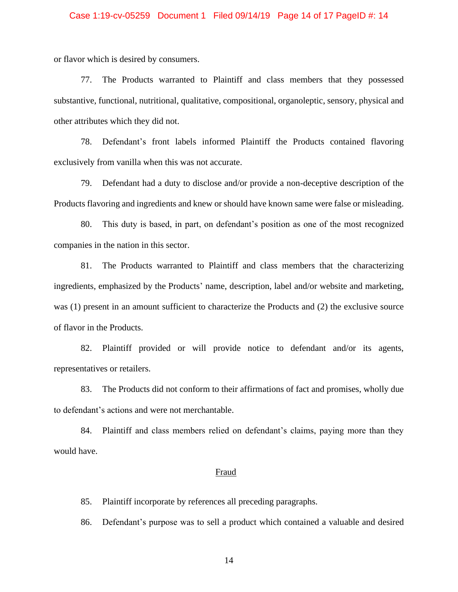# Case 1:19-cv-05259 Document 1 Filed 09/14/19 Page 14 of 17 PageID #: 14

or flavor which is desired by consumers.

77. The Products warranted to Plaintiff and class members that they possessed substantive, functional, nutritional, qualitative, compositional, organoleptic, sensory, physical and other attributes which they did not.

78. Defendant's front labels informed Plaintiff the Products contained flavoring exclusively from vanilla when this was not accurate.

79. Defendant had a duty to disclose and/or provide a non-deceptive description of the Products flavoring and ingredients and knew or should have known same were false or misleading.

80. This duty is based, in part, on defendant's position as one of the most recognized companies in the nation in this sector.

81. The Products warranted to Plaintiff and class members that the characterizing ingredients, emphasized by the Products' name, description, label and/or website and marketing, was (1) present in an amount sufficient to characterize the Products and (2) the exclusive source of flavor in the Products.

82. Plaintiff provided or will provide notice to defendant and/or its agents, representatives or retailers.

83. The Products did not conform to their affirmations of fact and promises, wholly due to defendant's actions and were not merchantable.

84. Plaintiff and class members relied on defendant's claims, paying more than they would have.

#### Fraud

85. Plaintiff incorporate by references all preceding paragraphs.

86. Defendant's purpose was to sell a product which contained a valuable and desired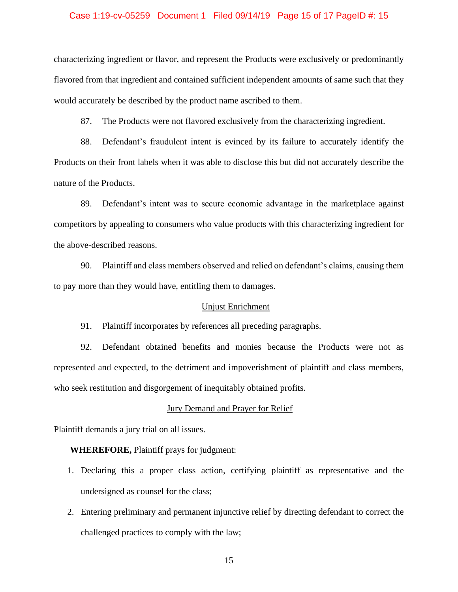# Case 1:19-cv-05259 Document 1 Filed 09/14/19 Page 15 of 17 PageID #: 15

characterizing ingredient or flavor, and represent the Products were exclusively or predominantly flavored from that ingredient and contained sufficient independent amounts of same such that they would accurately be described by the product name ascribed to them.

87. The Products were not flavored exclusively from the characterizing ingredient.

88. Defendant's fraudulent intent is evinced by its failure to accurately identify the Products on their front labels when it was able to disclose this but did not accurately describe the nature of the Products.

89. Defendant's intent was to secure economic advantage in the marketplace against competitors by appealing to consumers who value products with this characterizing ingredient for the above-described reasons.

90. Plaintiff and class members observed and relied on defendant's claims, causing them to pay more than they would have, entitling them to damages.

#### Unjust Enrichment

91. Plaintiff incorporates by references all preceding paragraphs.

92. Defendant obtained benefits and monies because the Products were not as represented and expected, to the detriment and impoverishment of plaintiff and class members, who seek restitution and disgorgement of inequitably obtained profits.

#### Jury Demand and Prayer for Relief

Plaintiff demands a jury trial on all issues.

**WHEREFORE,** Plaintiff prays for judgment:

- 1. Declaring this a proper class action, certifying plaintiff as representative and the undersigned as counsel for the class;
- 2. Entering preliminary and permanent injunctive relief by directing defendant to correct the challenged practices to comply with the law;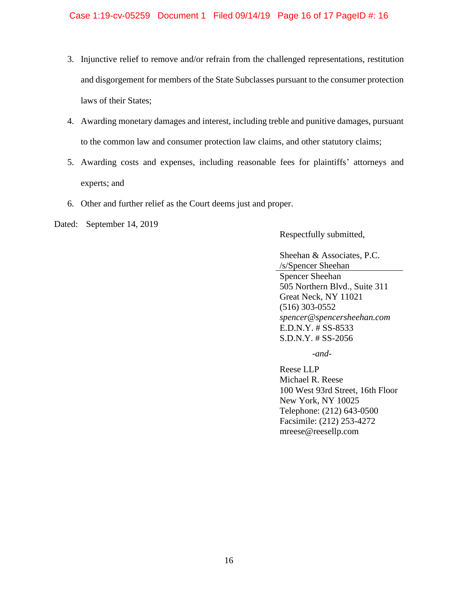- 3. Injunctive relief to remove and/or refrain from the challenged representations, restitution and disgorgement for members of the State Subclasses pursuant to the consumer protection laws of their States;
- 4. Awarding monetary damages and interest, including treble and punitive damages, pursuant to the common law and consumer protection law claims, and other statutory claims;
- 5. Awarding costs and expenses, including reasonable fees for plaintiffs' attorneys and experts; and
- 6. Other and further relief as the Court deems just and proper.

Dated: September 14, 2019

Respectfully submitted,

Sheehan & Associates, P.C. /s/Spencer Sheehan Spencer Sheehan 505 Northern Blvd., Suite 311 Great Neck, NY 11021 (516) 303-0552 *spencer@spencersheehan.com* E.D.N.Y. # SS-8533 S.D.N.Y. # SS-2056

*-and-*

Reese LLP Michael R. Reese 100 West 93rd Street, 16th Floor New York, NY 10025 Telephone: (212) 643-0500 Facsimile: (212) 253-4272 mreese@reesellp.com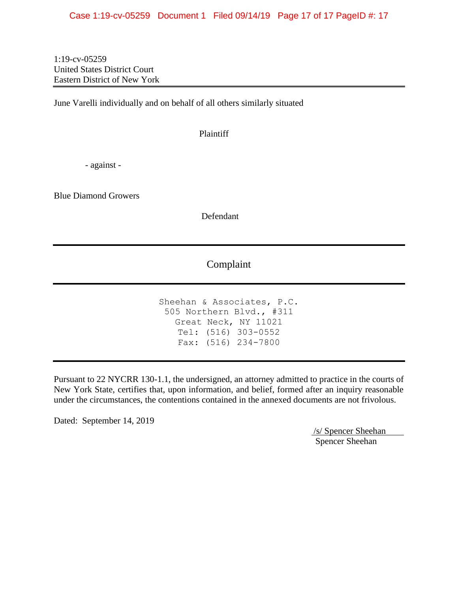1:19-cv-05259 United States District Court Eastern District of New York

June Varelli individually and on behalf of all others similarly situated

Plaintiff

- against -

Blue Diamond Growers

Defendant

Complaint

Sheehan & Associates, P.C. 505 Northern Blvd., #311 Great Neck, NY 11021 Tel: (516) 303-0552 Fax: (516) 234-7800

Pursuant to 22 NYCRR 130-1.1, the undersigned, an attorney admitted to practice in the courts of New York State, certifies that, upon information, and belief, formed after an inquiry reasonable under the circumstances, the contentions contained in the annexed documents are not frivolous.

Dated: September 14, 2019

/s/ Spencer Sheehan Spencer Sheehan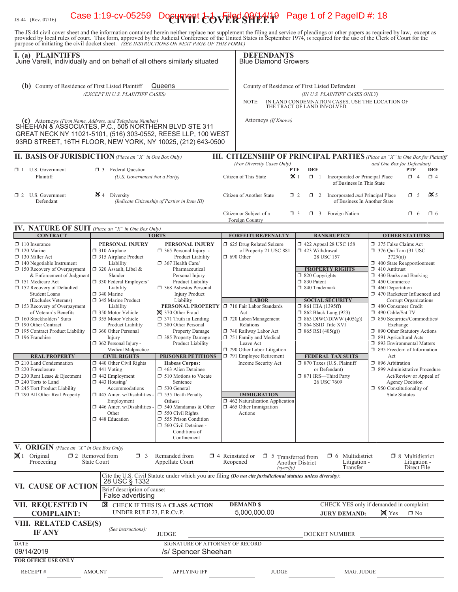# IS 44 (Rev. 07/16) **Case 1:19-cv-05259** Document  $\overline{c}$  over  $\overline{R}$  SHEL<sub>1</sub>9 Page 1 of 2 PageID #: 18

The JS 44 civil cover sheet and the information contained herein neither replace nor supplement the filing and service of pleadings or other papers as required by law, except as provided by local rules of court. This form,

| I. (a) PLAINTIFFS<br>June Varelli, individually and on behalf of all others similarly situated                                                                                                                                                                                                                                                                                                                                                                                                                                                                                                                                                               |                                                                                                                                                                                                                                                                                                                                                                                                                                                                                                                                                                                                                                |                                                                                                                                                                                                                                                                                                                                                                                                                                                                                                                                                                                                                                                                                |                                                                                                                                                                                                                                                                                                                                                                                                                                                                      | <b>DEFENDANTS</b><br><b>Blue Diamond Growers</b>                                                                                                                                                                                                                                                                                                                                                                                                          |                                                                                                                                                                                                                                                                                                                                                                                                                                                                                                                                                                                                                                                                                                      |  |
|--------------------------------------------------------------------------------------------------------------------------------------------------------------------------------------------------------------------------------------------------------------------------------------------------------------------------------------------------------------------------------------------------------------------------------------------------------------------------------------------------------------------------------------------------------------------------------------------------------------------------------------------------------------|--------------------------------------------------------------------------------------------------------------------------------------------------------------------------------------------------------------------------------------------------------------------------------------------------------------------------------------------------------------------------------------------------------------------------------------------------------------------------------------------------------------------------------------------------------------------------------------------------------------------------------|--------------------------------------------------------------------------------------------------------------------------------------------------------------------------------------------------------------------------------------------------------------------------------------------------------------------------------------------------------------------------------------------------------------------------------------------------------------------------------------------------------------------------------------------------------------------------------------------------------------------------------------------------------------------------------|----------------------------------------------------------------------------------------------------------------------------------------------------------------------------------------------------------------------------------------------------------------------------------------------------------------------------------------------------------------------------------------------------------------------------------------------------------------------|-----------------------------------------------------------------------------------------------------------------------------------------------------------------------------------------------------------------------------------------------------------------------------------------------------------------------------------------------------------------------------------------------------------------------------------------------------------|------------------------------------------------------------------------------------------------------------------------------------------------------------------------------------------------------------------------------------------------------------------------------------------------------------------------------------------------------------------------------------------------------------------------------------------------------------------------------------------------------------------------------------------------------------------------------------------------------------------------------------------------------------------------------------------------------|--|
| (b) County of Residence of First Listed Plaintiff<br>Queens<br>(EXCEPT IN U.S. PLAINTIFF CASES)<br>(c) Attorneys (Firm Name, Address, and Telephone Number)<br>SHEEHAN & ASSOCIATES, P.C., 505 NORTHERN BLVD STE 311<br>GREAT NECK NY 11021-5101, (516) 303-0552, REESE LLP, 100 WEST                                                                                                                                                                                                                                                                                                                                                                        |                                                                                                                                                                                                                                                                                                                                                                                                                                                                                                                                                                                                                                |                                                                                                                                                                                                                                                                                                                                                                                                                                                                                                                                                                                                                                                                                | NOTE:<br>Attorneys (If Known)                                                                                                                                                                                                                                                                                                                                                                                                                                        | County of Residence of First Listed Defendant<br>(IN U.S. PLAINTIFF CASES ONLY)<br>IN LAND CONDEMNATION CASES, USE THE LOCATION OF<br>THE TRACT OF LAND INVOLVED.                                                                                                                                                                                                                                                                                         |                                                                                                                                                                                                                                                                                                                                                                                                                                                                                                                                                                                                                                                                                                      |  |
| 93RD STREET, 16TH FLOOR, NEW YORK, NY 10025, (212) 643-0500                                                                                                                                                                                                                                                                                                                                                                                                                                                                                                                                                                                                  |                                                                                                                                                                                                                                                                                                                                                                                                                                                                                                                                                                                                                                |                                                                                                                                                                                                                                                                                                                                                                                                                                                                                                                                                                                                                                                                                |                                                                                                                                                                                                                                                                                                                                                                                                                                                                      |                                                                                                                                                                                                                                                                                                                                                                                                                                                           |                                                                                                                                                                                                                                                                                                                                                                                                                                                                                                                                                                                                                                                                                                      |  |
| <b>II. BASIS OF JURISDICTION</b> (Place an "X" in One Box Only)                                                                                                                                                                                                                                                                                                                                                                                                                                                                                                                                                                                              |                                                                                                                                                                                                                                                                                                                                                                                                                                                                                                                                                                                                                                |                                                                                                                                                                                                                                                                                                                                                                                                                                                                                                                                                                                                                                                                                |                                                                                                                                                                                                                                                                                                                                                                                                                                                                      |                                                                                                                                                                                                                                                                                                                                                                                                                                                           | <b>III. CITIZENSHIP OF PRINCIPAL PARTIES</b> (Place an "X" in One Box for Plaintiff                                                                                                                                                                                                                                                                                                                                                                                                                                                                                                                                                                                                                  |  |
| $\Box$ 1 U.S. Government<br>Plaintiff                                                                                                                                                                                                                                                                                                                                                                                                                                                                                                                                                                                                                        | <b>1</b> 3 Federal Question<br>(U.S. Government Not a Party)                                                                                                                                                                                                                                                                                                                                                                                                                                                                                                                                                                   |                                                                                                                                                                                                                                                                                                                                                                                                                                                                                                                                                                                                                                                                                | (For Diversity Cases Only)<br>Citizen of This State                                                                                                                                                                                                                                                                                                                                                                                                                  | <b>DEF</b><br><b>PTF</b><br>≵ ৷<br>$\Box$ 1<br>Incorporated or Principal Place<br>of Business In This State                                                                                                                                                                                                                                                                                                                                               | and One Box for Defendant)<br><b>PTF</b><br>DEF<br>$\Box$ 4<br>$\Box$ 4                                                                                                                                                                                                                                                                                                                                                                                                                                                                                                                                                                                                                              |  |
| $\Box$ 2 U.S. Government<br>Defendant                                                                                                                                                                                                                                                                                                                                                                                                                                                                                                                                                                                                                        | $\mathbf{M}$ 4 Diversity                                                                                                                                                                                                                                                                                                                                                                                                                                                                                                                                                                                                       | (Indicate Citizenship of Parties in Item III)                                                                                                                                                                                                                                                                                                                                                                                                                                                                                                                                                                                                                                  | Citizen of Another State                                                                                                                                                                                                                                                                                                                                                                                                                                             | $\Box$ 2<br>2 Incorporated and Principal Place<br>of Business In Another State                                                                                                                                                                                                                                                                                                                                                                            | $\mathbf{\times}$ 5<br>$\mathsf{\Pi}$ 5                                                                                                                                                                                                                                                                                                                                                                                                                                                                                                                                                                                                                                                              |  |
|                                                                                                                                                                                                                                                                                                                                                                                                                                                                                                                                                                                                                                                              |                                                                                                                                                                                                                                                                                                                                                                                                                                                                                                                                                                                                                                |                                                                                                                                                                                                                                                                                                                                                                                                                                                                                                                                                                                                                                                                                | Citizen or Subject of a<br>Foreign Country                                                                                                                                                                                                                                                                                                                                                                                                                           | $\Box$ 3 Foreign Nation<br>$\Box$ 3                                                                                                                                                                                                                                                                                                                                                                                                                       | $\Box$ 6<br>$\Box$ 6                                                                                                                                                                                                                                                                                                                                                                                                                                                                                                                                                                                                                                                                                 |  |
| <b>IV. NATURE OF SUIT</b> (Place an "X" in One Box Only)                                                                                                                                                                                                                                                                                                                                                                                                                                                                                                                                                                                                     |                                                                                                                                                                                                                                                                                                                                                                                                                                                                                                                                                                                                                                |                                                                                                                                                                                                                                                                                                                                                                                                                                                                                                                                                                                                                                                                                |                                                                                                                                                                                                                                                                                                                                                                                                                                                                      |                                                                                                                                                                                                                                                                                                                                                                                                                                                           |                                                                                                                                                                                                                                                                                                                                                                                                                                                                                                                                                                                                                                                                                                      |  |
| <b>CONTRACT</b><br>$\Box$ 110 Insurance<br>$\Box$ 120 Marine<br>$\Box$ 130 Miller Act<br>$\Box$ 140 Negotiable Instrument<br>$\Box$ 150 Recovery of Overpayment<br>& Enforcement of Judgment<br>151 Medicare Act<br>152 Recovery of Defaulted<br><b>Student Loans</b><br>(Excludes Veterans)<br>$\Box$ 153 Recovery of Overpayment<br>of Veteran's Benefits<br>160 Stockholders' Suits<br>190 Other Contract<br>195 Contract Product Liability<br>$\Box$ 196 Franchise<br><b>REAL PROPERTY</b><br>210 Land Condemnation<br>220 Foreclosure<br>□ 230 Rent Lease & Ejectment<br>240 Torts to Land<br>245 Tort Product Liability<br>290 All Other Real Property | PERSONAL INJURY<br>$\Box$ 310 Airplane<br>315 Airplane Product<br>Liability<br>$\Box$ 320 Assault, Libel &<br>Slander<br>330 Federal Employers'<br>Liability<br>$\Box$ 340 Marine<br>345 Marine Product<br>Liability<br>□ 350 Motor Vehicle<br>355 Motor Vehicle<br>Product Liability<br>360 Other Personal<br>Injury<br>362 Personal Injury -<br>Medical Malpractice<br><b>CIVIL RIGHTS</b><br>$\Box$ 440 Other Civil Rights<br>$\Box$ 441 Voting<br>$\square$ 442 Employment<br>$\Box$ 443 Housing/<br>Accommodations<br>$\Box$ 445 Amer. w/Disabilities<br>Employment<br>446 Amer. w/Disabilities<br>Other<br>448 Education | <b>TORTS</b><br>PERSONAL INJURY<br>$\Box$ 365 Personal Injury -<br>Product Liability<br>367 Health Care/<br>Pharmaceutical<br>Personal Injury<br>Product Liability<br><b>1</b> 368 Asbestos Personal<br><b>Injury Product</b><br>Liability<br><b>X</b> 370 Other Fraud<br>$\Box$ 371 Truth in Lending<br>380 Other Personal<br><b>Property Damage</b><br>385 Property Damage<br>Product Liability<br><b>PRISONER PETITIONS</b><br><b>Habeas Corpus:</b><br>463 Alien Detainee<br><b>J</b> 510 Motions to Vacate<br>Sentence<br>530 General<br>535 Death Penalty<br>Other:<br>□ 540 Mandamus & Other<br>$\Box$ 550 Civil Rights<br>555 Prison Condition<br>560 Civil Detainee - | <b>FORFEITURE/PENALTY</b><br>□ 625 Drug Related Seizure<br>of Property 21 USC 881<br>$\Box$ 690 Other<br><b>LABOR</b><br>PERSONAL PROPERTY   710 Fair Labor Standards<br>Act<br>720 Labor/Management<br>Relations<br>740 Railway Labor Act<br>751 Family and Medical<br>Leave Act<br>790 Other Labor Litigation<br>791 Employee Retirement<br>Income Security Act<br><b>IMMIGRATION</b><br>462 Naturalization Application<br>$\Box$ 465 Other Immigration<br>Actions | <b>BANKRUPTCY</b><br>422 Appeal 28 USC 158<br>423 Withdrawal<br>28 USC 157<br><b>PROPERTY RIGHTS</b><br>□ 820 Copyrights<br>□ 830 Patent<br>□ 840 Trademark<br><b>SOCIAL SECURITY</b><br>$\Box$ 861 HIA (1395ff)<br><b>1</b> 862 Black Lung (923)<br>$\Box$ 863 DIWC/DIWW (405(g))<br>□ 864 SSID Title XVI<br>$\Box$ 865 RSI (405(g))<br><b>FEDERAL TAX SUITS</b><br>□ 870 Taxes (U.S. Plaintiff<br>or Defendant)<br>□ 871 IRS-Third Party<br>26 USC 7609 | <b>OTHER STATUTES</b><br>7 375 False Claims Act<br>7 376 Qui Tam (31 USC<br>3729(a)<br>$\Box$ 400 State Reapportionment<br>$\Box$ 410 Antitrust<br>$\Box$ 430 Banks and Banking<br>$\Box$ 450 Commerce<br>$\Box$ 460 Deportation<br>1 470 Racketeer Influenced and<br>Corrupt Organizations<br>480 Consumer Credit<br>490 Cable/Sat TV<br>50 Securities/Commodities/<br>Exchange<br>1 890 Other Statutory Actions<br>□ 891 Agricultural Acts<br>□ 893 Environmental Matters<br>$\Box$ 895 Freedom of Information<br>Act<br>$\Box$ 896 Arbitration<br>□ 899 Administrative Procedure<br>Act/Review or Appeal of<br><b>Agency Decision</b><br>$\Box$ 950 Constitutionality of<br><b>State Statutes</b> |  |
| V. ORIGIN (Place an "X" in One Box Only)                                                                                                                                                                                                                                                                                                                                                                                                                                                                                                                                                                                                                     |                                                                                                                                                                                                                                                                                                                                                                                                                                                                                                                                                                                                                                | Conditions of<br>Confinement                                                                                                                                                                                                                                                                                                                                                                                                                                                                                                                                                                                                                                                   |                                                                                                                                                                                                                                                                                                                                                                                                                                                                      |                                                                                                                                                                                                                                                                                                                                                                                                                                                           |                                                                                                                                                                                                                                                                                                                                                                                                                                                                                                                                                                                                                                                                                                      |  |
| $\mathbf{\times}$ 1 Original<br>Proceeding                                                                                                                                                                                                                                                                                                                                                                                                                                                                                                                                                                                                                   | $\square$ 2 Removed from<br>$\Box$ 3<br>State Court                                                                                                                                                                                                                                                                                                                                                                                                                                                                                                                                                                            | Remanded from<br>Appellate Court                                                                                                                                                                                                                                                                                                                                                                                                                                                                                                                                                                                                                                               | $\Box$ 4 Reinstated or<br>$\Box$ 5 Transferred from<br>Reopened<br>(specify)                                                                                                                                                                                                                                                                                                                                                                                         | $\Box$ 6 Multidistrict<br>Litigation -<br><b>Another District</b><br>Transfer                                                                                                                                                                                                                                                                                                                                                                             | $\Box$ 8 Multidistrict<br>Litigation -<br>Direct File                                                                                                                                                                                                                                                                                                                                                                                                                                                                                                                                                                                                                                                |  |
| VI. CAUSE OF ACTION                                                                                                                                                                                                                                                                                                                                                                                                                                                                                                                                                                                                                                          | 28 USC § 1332<br>Brief description of cause:<br>False advertising                                                                                                                                                                                                                                                                                                                                                                                                                                                                                                                                                              |                                                                                                                                                                                                                                                                                                                                                                                                                                                                                                                                                                                                                                                                                | Cite the U.S. Civil Statute under which you are filing (Do not cite jurisdictional statutes unless diversity):                                                                                                                                                                                                                                                                                                                                                       |                                                                                                                                                                                                                                                                                                                                                                                                                                                           |                                                                                                                                                                                                                                                                                                                                                                                                                                                                                                                                                                                                                                                                                                      |  |
| VII. REQUESTED IN<br>⊠<br>CHECK IF THIS IS A CLASS ACTION<br>UNDER RULE 23, F.R.Cv.P.<br><b>COMPLAINT:</b>                                                                                                                                                                                                                                                                                                                                                                                                                                                                                                                                                   |                                                                                                                                                                                                                                                                                                                                                                                                                                                                                                                                                                                                                                |                                                                                                                                                                                                                                                                                                                                                                                                                                                                                                                                                                                                                                                                                | <b>DEMAND \$</b><br>5,000,000.00                                                                                                                                                                                                                                                                                                                                                                                                                                     | CHECK YES only if demanded in complaint:<br><b>X</b> Yes<br>$\Box$ No<br><b>JURY DEMAND:</b>                                                                                                                                                                                                                                                                                                                                                              |                                                                                                                                                                                                                                                                                                                                                                                                                                                                                                                                                                                                                                                                                                      |  |
| VIII. RELATED CASE(S)<br><b>IF ANY</b>                                                                                                                                                                                                                                                                                                                                                                                                                                                                                                                                                                                                                       | (See instructions):<br><b>JUDGE</b>                                                                                                                                                                                                                                                                                                                                                                                                                                                                                                                                                                                            |                                                                                                                                                                                                                                                                                                                                                                                                                                                                                                                                                                                                                                                                                |                                                                                                                                                                                                                                                                                                                                                                                                                                                                      | DOCKET NUMBER                                                                                                                                                                                                                                                                                                                                                                                                                                             |                                                                                                                                                                                                                                                                                                                                                                                                                                                                                                                                                                                                                                                                                                      |  |
| DATE<br>09/14/2019<br><b>FOR OFFICE USE ONLY</b>                                                                                                                                                                                                                                                                                                                                                                                                                                                                                                                                                                                                             | SIGNATURE OF ATTORNEY OF RECORD<br>/s/ Spencer Sheehan                                                                                                                                                                                                                                                                                                                                                                                                                                                                                                                                                                         |                                                                                                                                                                                                                                                                                                                                                                                                                                                                                                                                                                                                                                                                                |                                                                                                                                                                                                                                                                                                                                                                                                                                                                      |                                                                                                                                                                                                                                                                                                                                                                                                                                                           |                                                                                                                                                                                                                                                                                                                                                                                                                                                                                                                                                                                                                                                                                                      |  |
| RECEIPT#                                                                                                                                                                                                                                                                                                                                                                                                                                                                                                                                                                                                                                                     | <b>AMOUNT</b>                                                                                                                                                                                                                                                                                                                                                                                                                                                                                                                                                                                                                  | <b>APPLYING IFP</b>                                                                                                                                                                                                                                                                                                                                                                                                                                                                                                                                                                                                                                                            | <b>JUDGE</b>                                                                                                                                                                                                                                                                                                                                                                                                                                                         | MAG. JUDGE                                                                                                                                                                                                                                                                                                                                                                                                                                                |                                                                                                                                                                                                                                                                                                                                                                                                                                                                                                                                                                                                                                                                                                      |  |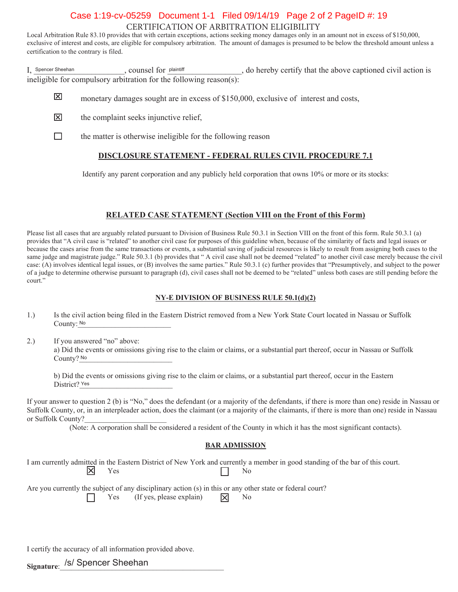# CERTIFICATION OF ARBITRATION ELIGIBILITY Case 1:19-cv-05259 Document 1-1 Filed 09/14/19 Page 2 of 2 PageID #: 19

Local Arbitration Rule 83.10 provides that with certain exceptions, actions seeking money damages only in an amount not in excess of \$150,000, exclusive of interest and costs, are eligible for compulsory arbitration. The amount of damages is presumed to be below the threshold amount unless a certification to the contrary is filed.

I, Spencer Sheehan counsel for plaintiff and the above captioned civil action is ineligible for compulsory arbitration for the following reason(s): Spencer Sheehan **player counting that Spencer Sheehan** 

- 冈 monetary damages sought are in excess of \$150,000, exclusive of interest and costs,
- 冈 the complaint seeks injunctive relief.
- $\Box$ the matter is otherwise ineligible for the following reason

### **DISCLOSURE STATEMENT - FEDERAL RULES CIVIL PROCEDURE 7.1**

Identify any parent corporation and any publicly held corporation that owns  $10\%$  or more or its stocks:

#### **RELATED CASE STATEMENT (Section VIII on the Front of this Form)**

Please list all cases that are arguably related pursuant to Division of Business Rule 50.3.1 in Section VIII on the front of this form. Rule 50.3.1 (a) provides that "A civil case is "related" to another civil case for purposes of this guideline when, because of the similarity of facts and legal issues or because the cases arise from the same transactions or events, a substantial saving of judicial resources is likely to result from assigning both cases to the same judge and magistrate judge." Rule 50.3.1 (b) provides that "A civil case shall not be deemed "related" to another civil case merely because the civil case: (A) involves identical legal issues, or (B) involves the same parties." Rule 50.3.1 (c) further provides that "Presumptively, and subject to the power of a judge to determine otherwise pursuant to paragraph (d), civil cases shall not be deemed to be "related" unless both cases are still pending before the court."

#### **NY-E DIVISION OF BUSINESS RULE 50.1(d)(2)**

- 1.) Is the civil action being filed in the Eastern District removed from a New York State Court located in Nassau or Suffolk County: No. 2008. The County: No. 2008. The County: No. 2008. The County: No. 2008. The County: No. 2008. The County: No. 2008. The County: No. 2008. The County: No. 2008. The County: No. 2008. The County: No. 2008. The Co
- 2.) If you answered "no" above: a) Did the events or omissions giving rise to the claim or claims, or a substantial part thereof, occur in Nassau or Suffolk County? No

b) Did the events or omissions giving rise to the claim or claims, or a substantial part thereof, occur in the Eastern District? Yes

If your answer to question 2 (b) is "No," does the defendant (or a majority of the defendants, if there is more than one) reside in Nassau or Suffolk County, or, in an interpleader action, does the claimant (or a majority of the claimants, if there is more than one) reside in Nassau or Suffolk County?

(Note: A corporation shall be considered a resident of the County in which it has the most significant contacts).

#### **BAR ADMISSION**

I am currently admitted in the Eastern District of New York and currently a member in good standing of the bar of this court.  $\mathbb{X}$  $\Gamma$   $\Gamma$  188

Are you currently the subject of any disciplinary action  $(s)$  in this or any other state or federal court? Yes (If yes, please explain)  $|\mathbf{\nabla}|$  No

I certify the accuracy of all information provided above.

<sub>Signature:</sub> /s/ Spencer Sheehan